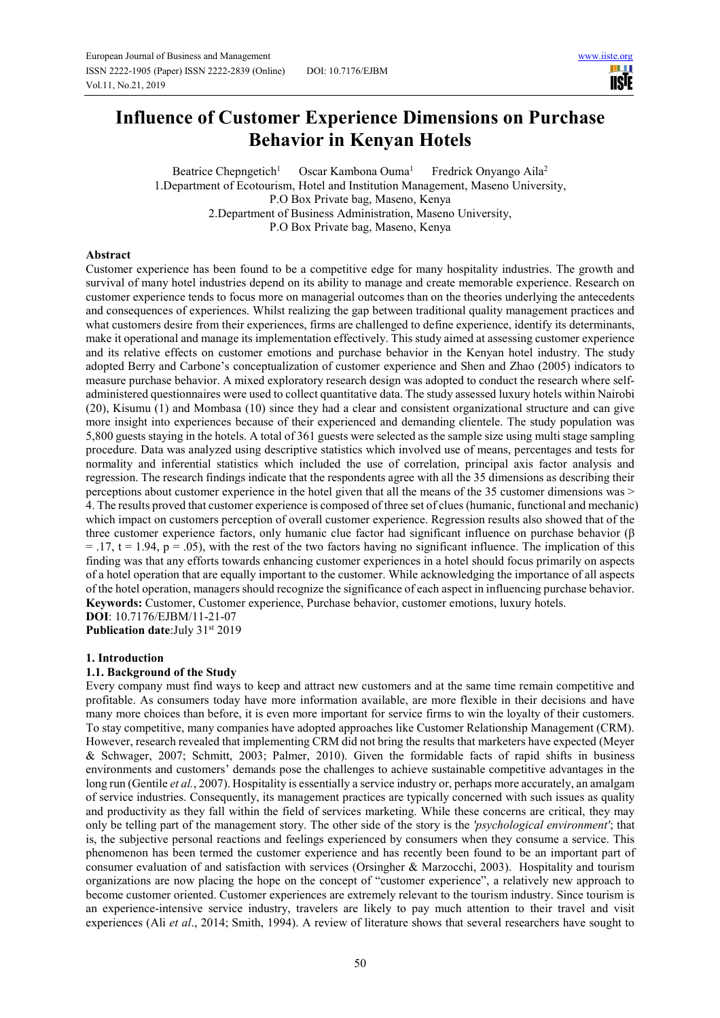ШI **USIE** 

# **Influence of Customer Experience Dimensions on Purchase Behavior in Kenyan Hotels**

Beatrice Chepngetich<sup>1</sup> Oscar Kambona Ouma<sup>1</sup> Fredrick Onyango Aila<sup>2</sup> 1.Department of Ecotourism, Hotel and Institution Management, Maseno University, P.O Box Private bag, Maseno, Kenya 2.Department of Business Administration, Maseno University, P.O Box Private bag, Maseno, Kenya

#### **Abstract**

Customer experience has been found to be a competitive edge for many hospitality industries. The growth and survival of many hotel industries depend on its ability to manage and create memorable experience. Research on customer experience tends to focus more on managerial outcomes than on the theories underlying the antecedents and consequences of experiences. Whilst realizing the gap between traditional quality management practices and what customers desire from their experiences, firms are challenged to define experience, identify its determinants, make it operational and manage its implementation effectively. This study aimed at assessing customer experience and its relative effects on customer emotions and purchase behavior in the Kenyan hotel industry. The study adopted Berry and Carbone's conceptualization of customer experience and Shen and Zhao (2005) indicators to measure purchase behavior. A mixed exploratory research design was adopted to conduct the research where selfadministered questionnaires were used to collect quantitative data. The study assessed luxury hotels within Nairobi (20), Kisumu (1) and Mombasa (10) since they had a clear and consistent organizational structure and can give more insight into experiences because of their experienced and demanding clientele. The study population was 5,800 guests staying in the hotels. A total of 361 guests were selected as the sample size using multi stage sampling procedure. Data was analyzed using descriptive statistics which involved use of means, percentages and tests for normality and inferential statistics which included the use of correlation, principal axis factor analysis and regression. The research findings indicate that the respondents agree with all the 35 dimensions as describing their perceptions about customer experience in the hotel given that all the means of the 35 customer dimensions was > 4. The results proved that customer experience is composed of three set of clues (humanic, functional and mechanic) which impact on customers perception of overall customer experience. Regression results also showed that of the three customer experience factors, only humanic clue factor had significant influence on purchase behavior (β  $= .17$ ,  $t = 1.94$ ,  $p = .05$ ), with the rest of the two factors having no significant influence. The implication of this finding was that any efforts towards enhancing customer experiences in a hotel should focus primarily on aspects of a hotel operation that are equally important to the customer. While acknowledging the importance of all aspects of the hotel operation, managers should recognize the significance of each aspect in influencing purchase behavior. **Keywords:** Customer, Customer experience, Purchase behavior, customer emotions, luxury hotels. **DOI**: 10.7176/EJBM/11-21-07

**Publication date:**July 31<sup>st</sup> 2019

#### **1. Introduction**

#### **1.1. Background of the Study**

Every company must find ways to keep and attract new customers and at the same time remain competitive and profitable. As consumers today have more information available, are more flexible in their decisions and have many more choices than before, it is even more important for service firms to win the loyalty of their customers. To stay competitive, many companies have adopted approaches like Customer Relationship Management (CRM). However, research revealed that implementing CRM did not bring the results that marketers have expected (Meyer & Schwager, 2007; Schmitt, 2003; Palmer, 2010). Given the formidable facts of rapid shifts in business environments and customers' demands pose the challenges to achieve sustainable competitive advantages in the long run (Gentile *et al.*, 2007). Hospitality is essentially a service industry or, perhaps more accurately, an amalgam of service industries. Consequently, its management practices are typically concerned with such issues as quality and productivity as they fall within the field of services marketing. While these concerns are critical, they may only be telling part of the management story. The other side of the story is the *'psychological environment'*; that is, the subjective personal reactions and feelings experienced by consumers when they consume a service. This phenomenon has been termed the customer experience and has recently been found to be an important part of consumer evaluation of and satisfaction with services (Orsingher & Marzocchi, 2003). Hospitality and tourism organizations are now placing the hope on the concept of "customer experience", a relatively new approach to become customer oriented. Customer experiences are extremely relevant to the tourism industry. Since tourism is an experience-intensive service industry, travelers are likely to pay much attention to their travel and visit experiences (Ali *et al*., 2014; Smith, 1994). A review of literature shows that several researchers have sought to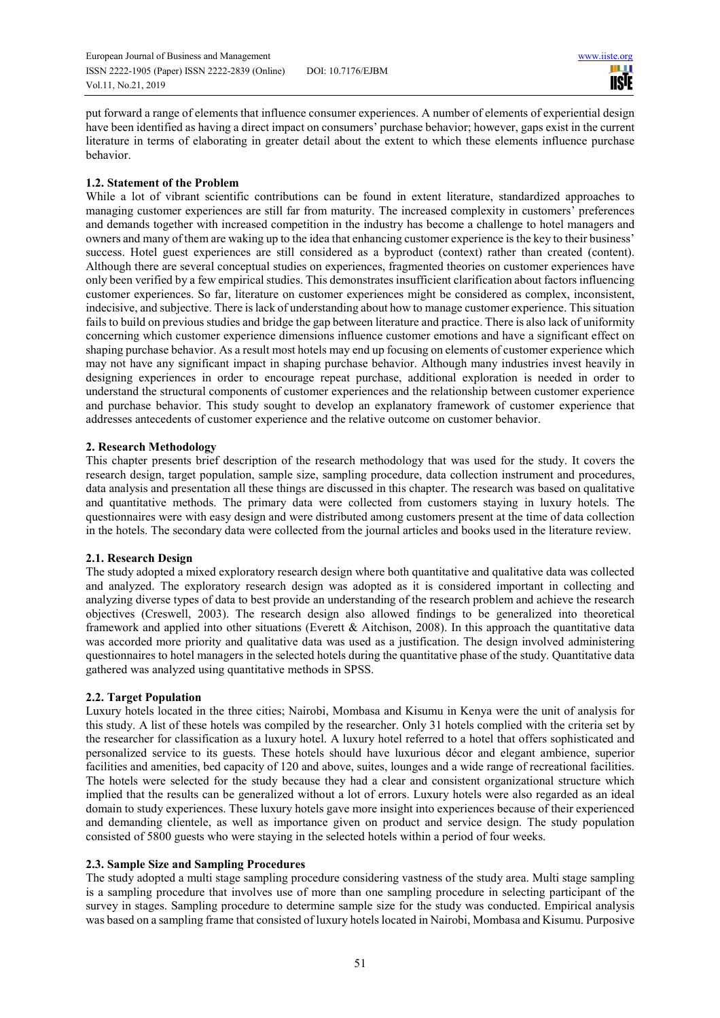European Journal of Business and Management www.iiste.org ISSN 2222-1905 (Paper) ISSN 2222-2839 (Online) DOI: 10.7176/EJBM Vol.11, No.21, 2019

put forward a range of elements that influence consumer experiences. A number of elements of experiential design have been identified as having a direct impact on consumers' purchase behavior; however, gaps exist in the current literature in terms of elaborating in greater detail about the extent to which these elements influence purchase behavior.

# **1.2. Statement of the Problem**

While a lot of vibrant scientific contributions can be found in extent literature, standardized approaches to managing customer experiences are still far from maturity. The increased complexity in customers' preferences and demands together with increased competition in the industry has become a challenge to hotel managers and owners and many of them are waking up to the idea that enhancing customer experience is the key to their business' success. Hotel guest experiences are still considered as a byproduct (context) rather than created (content). Although there are several conceptual studies on experiences, fragmented theories on customer experiences have only been verified by a few empirical studies. This demonstrates insufficient clarification about factors influencing customer experiences. So far, literature on customer experiences might be considered as complex, inconsistent, indecisive, and subjective. There is lack of understanding about how to manage customer experience. This situation fails to build on previous studies and bridge the gap between literature and practice. There is also lack of uniformity concerning which customer experience dimensions influence customer emotions and have a significant effect on shaping purchase behavior. As a result most hotels may end up focusing on elements of customer experience which may not have any significant impact in shaping purchase behavior. Although many industries invest heavily in designing experiences in order to encourage repeat purchase, additional exploration is needed in order to understand the structural components of customer experiences and the relationship between customer experience and purchase behavior. This study sought to develop an explanatory framework of customer experience that addresses antecedents of customer experience and the relative outcome on customer behavior.

# **2. Research Methodology**

This chapter presents brief description of the research methodology that was used for the study. It covers the research design, target population, sample size, sampling procedure, data collection instrument and procedures, data analysis and presentation all these things are discussed in this chapter. The research was based on qualitative and quantitative methods. The primary data were collected from customers staying in luxury hotels. The questionnaires were with easy design and were distributed among customers present at the time of data collection in the hotels. The secondary data were collected from the journal articles and books used in the literature review.

## **2.1. Research Design**

The study adopted a mixed exploratory research design where both quantitative and qualitative data was collected and analyzed. The exploratory research design was adopted as it is considered important in collecting and analyzing diverse types of data to best provide an understanding of the research problem and achieve the research objectives (Creswell, 2003). The research design also allowed findings to be generalized into theoretical framework and applied into other situations (Everett & Aitchison, 2008). In this approach the quantitative data was accorded more priority and qualitative data was used as a justification. The design involved administering questionnaires to hotel managers in the selected hotels during the quantitative phase of the study. Quantitative data gathered was analyzed using quantitative methods in SPSS.

## **2.2. Target Population**

Luxury hotels located in the three cities; Nairobi, Mombasa and Kisumu in Kenya were the unit of analysis for this study. A list of these hotels was compiled by the researcher. Only 31 hotels complied with the criteria set by the researcher for classification as a luxury hotel. A luxury hotel referred to a hotel that offers sophisticated and personalized service to its guests. These hotels should have luxurious décor and elegant ambience, superior facilities and amenities, bed capacity of 120 and above, suites, lounges and a wide range of recreational facilities. The hotels were selected for the study because they had a clear and consistent organizational structure which implied that the results can be generalized without a lot of errors. Luxury hotels were also regarded as an ideal domain to study experiences. These luxury hotels gave more insight into experiences because of their experienced and demanding clientele, as well as importance given on product and service design. The study population consisted of 5800 guests who were staying in the selected hotels within a period of four weeks.

## **2.3. Sample Size and Sampling Procedures**

The study adopted a multi stage sampling procedure considering vastness of the study area. Multi stage sampling is a sampling procedure that involves use of more than one sampling procedure in selecting participant of the survey in stages. Sampling procedure to determine sample size for the study was conducted. Empirical analysis was based on a sampling frame that consisted of luxury hotels located in Nairobi, Mombasa and Kisumu. Purposive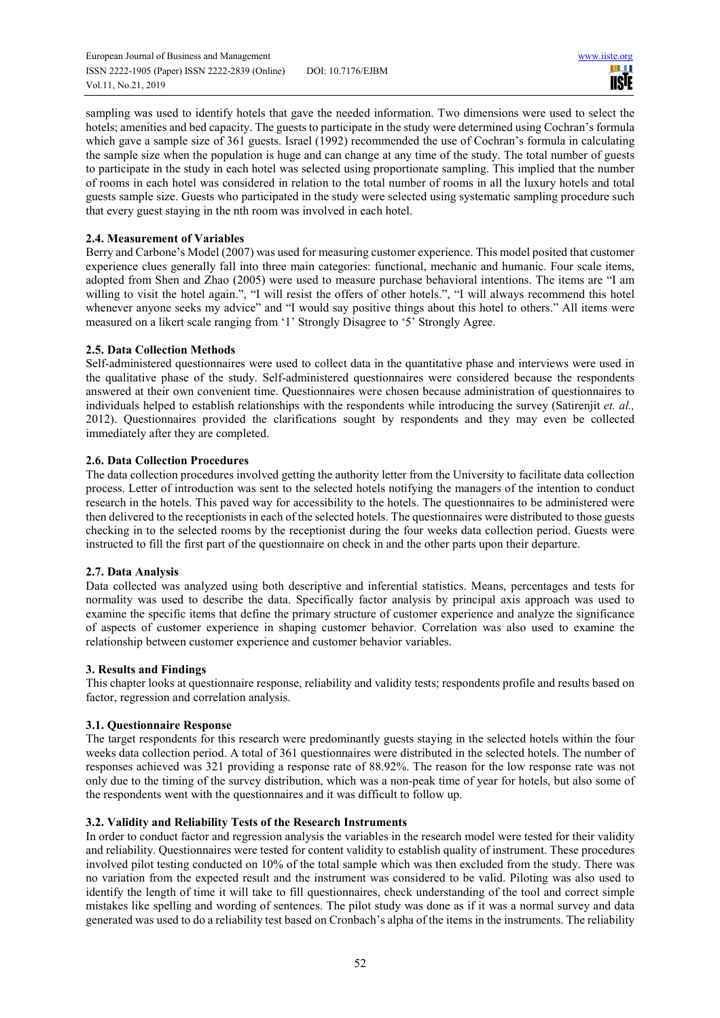European Journal of Business and Management www.iiste.org ISSN 2222-1905 (Paper) ISSN 2222-2839 (Online) DOI: 10.7176/EJBM Vol.11, No.21, 2019



sampling was used to identify hotels that gave the needed information. Two dimensions were used to select the hotels; amenities and bed capacity. The guests to participate in the study were determined using Cochran's formula which gave a sample size of 361 guests. Israel (1992) recommended the use of Cochran's formula in calculating the sample size when the population is huge and can change at any time of the study. The total number of guests to participate in the study in each hotel was selected using proportionate sampling. This implied that the number of rooms in each hotel was considered in relation to the total number of rooms in all the luxury hotels and total guests sample size. Guests who participated in the study were selected using systematic sampling procedure such that every guest staying in the nth room was involved in each hotel.

# **2.4. Measurement of Variables**

Berry and Carbone's Model (2007) was used for measuring customer experience. This model posited that customer experience clues generally fall into three main categories: functional, mechanic and humanic. Four scale items, adopted from Shen and Zhao (2005) were used to measure purchase behavioral intentions. The items are "I am willing to visit the hotel again.", "I will resist the offers of other hotels.", "I will always recommend this hotel whenever anyone seeks my advice" and "I would say positive things about this hotel to others." All items were measured on a likert scale ranging from '1' Strongly Disagree to '5' Strongly Agree.

# **2.5. Data Collection Methods**

Self-administered questionnaires were used to collect data in the quantitative phase and interviews were used in the qualitative phase of the study. Self-administered questionnaires were considered because the respondents answered at their own convenient time. Questionnaires were chosen because administration of questionnaires to individuals helped to establish relationships with the respondents while introducing the survey (Satirenjit *et. al.,*  2012). Questionnaires provided the clarifications sought by respondents and they may even be collected immediately after they are completed.

# **2.6. Data Collection Procedures**

The data collection procedures involved getting the authority letter from the University to facilitate data collection process. Letter of introduction was sent to the selected hotels notifying the managers of the intention to conduct research in the hotels. This paved way for accessibility to the hotels. The questionnaires to be administered were then delivered to the receptionists in each of the selected hotels. The questionnaires were distributed to those guests checking in to the selected rooms by the receptionist during the four weeks data collection period. Guests were instructed to fill the first part of the questionnaire on check in and the other parts upon their departure.

## **2.7. Data Analysis**

Data collected was analyzed using both descriptive and inferential statistics. Means, percentages and tests for normality was used to describe the data. Specifically factor analysis by principal axis approach was used to examine the specific items that define the primary structure of customer experience and analyze the significance of aspects of customer experience in shaping customer behavior. Correlation was also used to examine the relationship between customer experience and customer behavior variables.

## **3. Results and Findings**

This chapter looks at questionnaire response, reliability and validity tests; respondents profile and results based on factor, regression and correlation analysis.

## **3.1. Questionnaire Response**

The target respondents for this research were predominantly guests staying in the selected hotels within the four weeks data collection period. A total of 361 questionnaires were distributed in the selected hotels. The number of responses achieved was 321 providing a response rate of 88.92%. The reason for the low response rate was not only due to the timing of the survey distribution, which was a non-peak time of year for hotels, but also some of the respondents went with the questionnaires and it was difficult to follow up.

## **3.2. Validity and Reliability Tests of the Research Instruments**

In order to conduct factor and regression analysis the variables in the research model were tested for their validity and reliability. Questionnaires were tested for content validity to establish quality of instrument. These procedures involved pilot testing conducted on 10% of the total sample which was then excluded from the study. There was no variation from the expected result and the instrument was considered to be valid. Piloting was also used to identify the length of time it will take to fill questionnaires, check understanding of the tool and correct simple mistakes like spelling and wording of sentences. The pilot study was done as if it was a normal survey and data generated was used to do a reliability test based on Cronbach's alpha of the items in the instruments. The reliability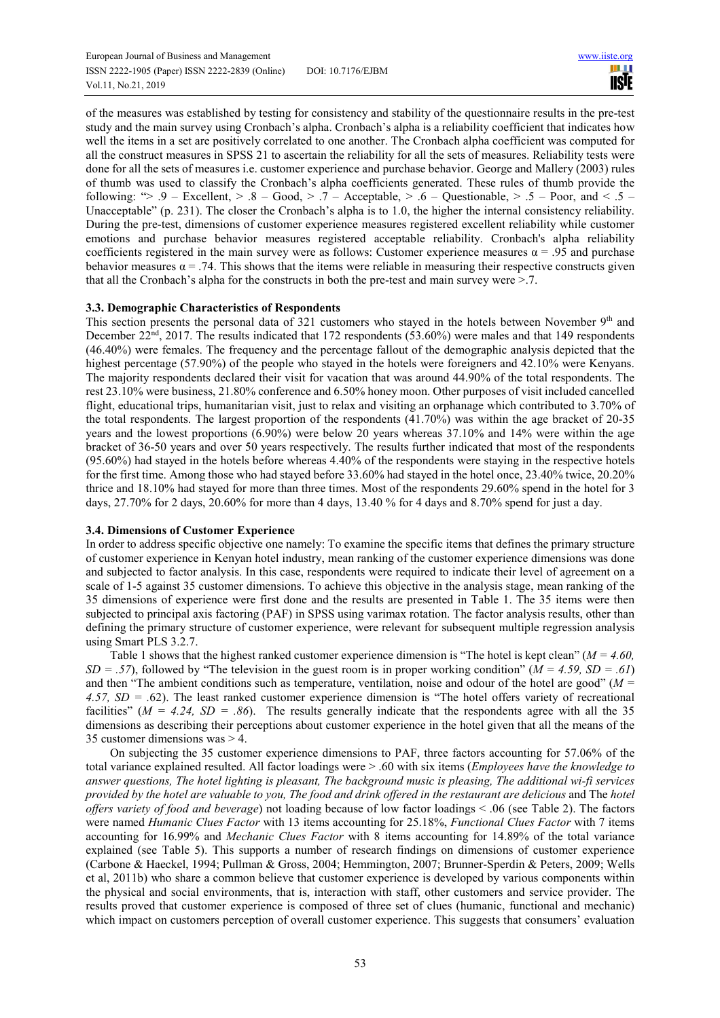European Journal of Business and Management www.iiste.org ISSN 2222-1905 (Paper) ISSN 2222-2839 (Online) DOI: 10.7176/EJBM Vol.11, No.21, 2019

шш **IISTE** 

of the measures was established by testing for consistency and stability of the questionnaire results in the pre-test study and the main survey using Cronbach's alpha. Cronbach's alpha is a reliability coefficient that indicates how well the items in a set are positively correlated to one another. The Cronbach alpha coefficient was computed for all the construct measures in SPSS 21 to ascertain the reliability for all the sets of measures. Reliability tests were done for all the sets of measures i.e. customer experience and purchase behavior. George and Mallery (2003) rules of thumb was used to classify the Cronbach's alpha coefficients generated. These rules of thumb provide the following: " $> 0.9$  – Excellent,  $> 0.8$  – Good,  $> 0.7$  – Acceptable,  $> 0.6$  – Questionable,  $> 0.5$  – Poor, and  $< 0.5$  – Unacceptable" (p. 231). The closer the Cronbach's alpha is to 1.0, the higher the internal consistency reliability. During the pre-test, dimensions of customer experience measures registered excellent reliability while customer emotions and purchase behavior measures registered acceptable reliability. Cronbach's alpha reliability coefficients registered in the main survey were as follows: Customer experience measures  $\alpha = .95$  and purchase behavior measures  $\alpha = .74$ . This shows that the items were reliable in measuring their respective constructs given that all the Cronbach's alpha for the constructs in both the pre-test and main survey were >.7.

#### **3.3. Demographic Characteristics of Respondents**

This section presents the personal data of 321 customers who stayed in the hotels between November  $9<sup>th</sup>$  and December 22nd, 2017. The results indicated that 172 respondents (53.60%) were males and that 149 respondents (46.40%) were females. The frequency and the percentage fallout of the demographic analysis depicted that the highest percentage (57.90%) of the people who stayed in the hotels were foreigners and 42.10% were Kenyans. The majority respondents declared their visit for vacation that was around 44.90% of the total respondents. The rest 23.10% were business, 21.80% conference and 6.50% honey moon. Other purposes of visit included cancelled flight, educational trips, humanitarian visit, just to relax and visiting an orphanage which contributed to 3.70% of the total respondents. The largest proportion of the respondents (41.70%) was within the age bracket of 20-35 years and the lowest proportions (6.90%) were below 20 years whereas 37.10% and 14% were within the age bracket of 36-50 years and over 50 years respectively. The results further indicated that most of the respondents (95.60%) had stayed in the hotels before whereas 4.40% of the respondents were staying in the respective hotels for the first time. Among those who had stayed before 33.60% had stayed in the hotel once, 23.40% twice, 20.20% thrice and 18.10% had stayed for more than three times. Most of the respondents 29.60% spend in the hotel for 3 days, 27.70% for 2 days, 20.60% for more than 4 days, 13.40 % for 4 days and 8.70% spend for just a day.

#### **3.4. Dimensions of Customer Experience**

In order to address specific objective one namely: To examine the specific items that defines the primary structure of customer experience in Kenyan hotel industry, mean ranking of the customer experience dimensions was done and subjected to factor analysis. In this case, respondents were required to indicate their level of agreement on a scale of 1-5 against 35 customer dimensions. To achieve this objective in the analysis stage, mean ranking of the 35 dimensions of experience were first done and the results are presented in Table 1. The 35 items were then subjected to principal axis factoring (PAF) in SPSS using varimax rotation. The factor analysis results, other than defining the primary structure of customer experience, were relevant for subsequent multiple regression analysis using Smart PLS 3.2.7.

Table 1 shows that the highest ranked customer experience dimension is "The hotel is kept clean" (*M = 4.60, SD = .57*), followed by "The television in the guest room is in proper working condition" (*M = 4.59, SD = .61*) and then "The ambient conditions such as temperature, ventilation, noise and odour of the hotel are good" (*M = 4.57, SD = .*62). The least ranked customer experience dimension is "The hotel offers variety of recreational facilities" ( $M = 4.24$ ,  $SD = .86$ ). The results generally indicate that the respondents agree with all the 35 dimensions as describing their perceptions about customer experience in the hotel given that all the means of the 35 customer dimensions was > 4.

On subjecting the 35 customer experience dimensions to PAF, three factors accounting for 57.06% of the total variance explained resulted. All factor loadings were > .60 with six items (*Employees have the knowledge to answer questions, The hotel lighting is pleasant, The background music is pleasing, The additional wi-fi services provided by the hotel are valuable to you, The food and drink offered in the restaurant are delicious* and The *hotel offers variety of food and beverage*) not loading because of low factor loadings < .06 (see Table 2). The factors were named *Humanic Clues Factor* with 13 items accounting for 25.18%, *Functional Clues Factor* with 7 items accounting for 16.99% and *Mechanic Clues Factor* with 8 items accounting for 14.89% of the total variance explained (see Table 5). This supports a number of research findings on dimensions of customer experience (Carbone & Haeckel, 1994; Pullman & Gross, 2004; Hemmington, 2007; Brunner-Sperdin & Peters, 2009; Wells et al, 2011b) who share a common believe that customer experience is developed by various components within the physical and social environments, that is, interaction with staff, other customers and service provider. The results proved that customer experience is composed of three set of clues (humanic, functional and mechanic) which impact on customers perception of overall customer experience. This suggests that consumers' evaluation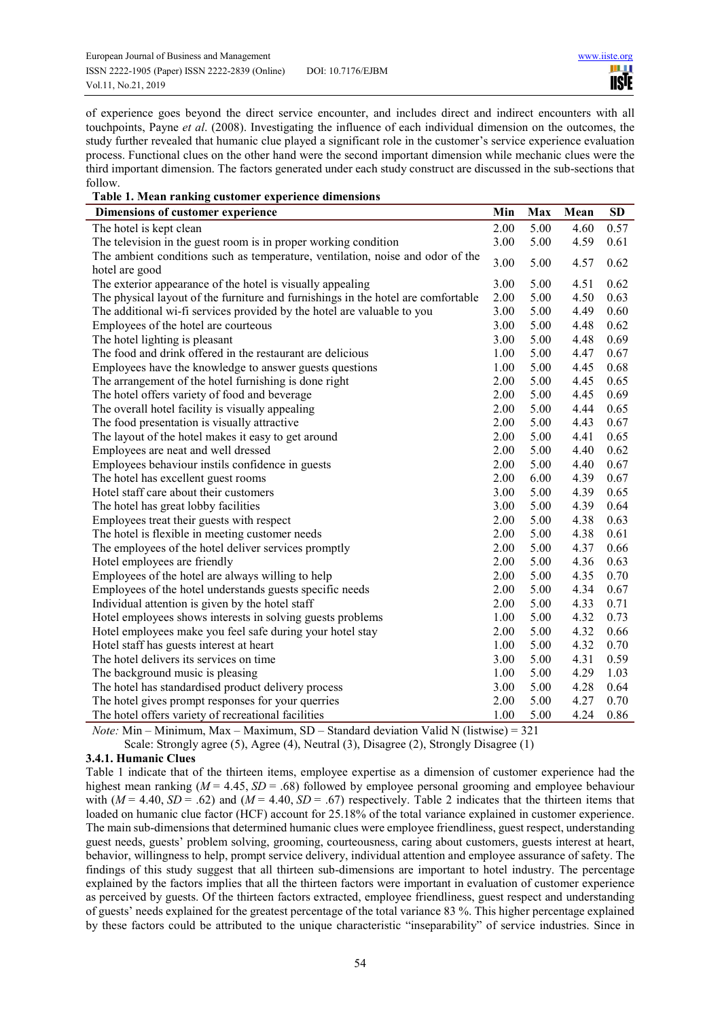of experience goes beyond the direct service encounter, and includes direct and indirect encounters with all touchpoints, Payne *et al*. (2008). Investigating the influence of each individual dimension on the outcomes, the study further revealed that humanic clue played a significant role in the customer's service experience evaluation process. Functional clues on the other hand were the second important dimension while mechanic clues were the third important dimension. The factors generated under each study construct are discussed in the sub-sections that follow.

| Table 1. Mean ranking customer experience dimensions                              |      |      |      |      |
|-----------------------------------------------------------------------------------|------|------|------|------|
| Dimensions of customer experience                                                 | Min  | Max  | Mean | SD   |
| The hotel is kept clean                                                           | 2.00 | 5.00 | 4.60 | 0.57 |
| The television in the guest room is in proper working condition                   | 3.00 | 5.00 | 4.59 | 0.61 |
| The ambient conditions such as temperature, ventilation, noise and odor of the    | 3.00 | 5.00 | 4.57 | 0.62 |
| hotel are good                                                                    |      |      |      |      |
| The exterior appearance of the hotel is visually appealing                        | 3.00 | 5.00 | 4.51 | 0.62 |
| The physical layout of the furniture and furnishings in the hotel are comfortable | 2.00 | 5.00 | 4.50 | 0.63 |
| The additional wi-fi services provided by the hotel are valuable to you           | 3.00 | 5.00 | 4.49 | 0.60 |
| Employees of the hotel are courteous                                              | 3.00 | 5.00 | 4.48 | 0.62 |
| The hotel lighting is pleasant                                                    | 3.00 | 5.00 | 4.48 | 0.69 |
| The food and drink offered in the restaurant are delicious                        | 1.00 | 5.00 | 4.47 | 0.67 |
| Employees have the knowledge to answer guests questions                           | 1.00 | 5.00 | 4.45 | 0.68 |
| The arrangement of the hotel furnishing is done right                             | 2.00 | 5.00 | 4.45 | 0.65 |
| The hotel offers variety of food and beverage                                     | 2.00 | 5.00 | 4.45 | 0.69 |
| The overall hotel facility is visually appealing                                  | 2.00 | 5.00 | 4.44 | 0.65 |
| The food presentation is visually attractive                                      | 2.00 | 5.00 | 4.43 | 0.67 |
| The layout of the hotel makes it easy to get around                               | 2.00 | 5.00 | 4.41 | 0.65 |
| Employees are neat and well dressed                                               | 2.00 | 5.00 | 4.40 | 0.62 |
| Employees behaviour instils confidence in guests                                  | 2.00 | 5.00 | 4.40 | 0.67 |
| The hotel has excellent guest rooms                                               | 2.00 | 6.00 | 4.39 | 0.67 |
| Hotel staff care about their customers                                            | 3.00 | 5.00 | 4.39 | 0.65 |
| The hotel has great lobby facilities                                              | 3.00 | 5.00 | 4.39 | 0.64 |
| Employees treat their guests with respect                                         | 2.00 | 5.00 | 4.38 | 0.63 |
| The hotel is flexible in meeting customer needs                                   | 2.00 | 5.00 | 4.38 | 0.61 |
| The employees of the hotel deliver services promptly                              | 2.00 | 5.00 | 4.37 | 0.66 |
| Hotel employees are friendly                                                      | 2.00 | 5.00 | 4.36 | 0.63 |
| Employees of the hotel are always willing to help                                 | 2.00 | 5.00 | 4.35 | 0.70 |
| Employees of the hotel understands guests specific needs                          | 2.00 | 5.00 | 4.34 | 0.67 |
| Individual attention is given by the hotel staff                                  | 2.00 | 5.00 | 4.33 | 0.71 |
| Hotel employees shows interests in solving guests problems                        | 1.00 | 5.00 | 4.32 | 0.73 |
| Hotel employees make you feel safe during your hotel stay                         | 2.00 | 5.00 | 4.32 | 0.66 |
| Hotel staff has guests interest at heart                                          | 1.00 | 5.00 | 4.32 | 0.70 |
| The hotel delivers its services on time                                           | 3.00 | 5.00 | 4.31 | 0.59 |
| The background music is pleasing                                                  | 1.00 | 5.00 | 4.29 | 1.03 |
| The hotel has standardised product delivery process                               | 3.00 | 5.00 | 4.28 | 0.64 |
| The hotel gives prompt responses for your querries                                | 2.00 | 5.00 | 4.27 | 0.70 |
| The hotel offers variety of recreational facilities                               | 1.00 | 5.00 | 4.24 | 0.86 |

*Note:* Min – Minimum, Max – Maximum, SD – Standard deviation Valid N (listwise) = 321 Scale: Strongly agree (5), Agree (4), Neutral (3), Disagree (2), Strongly Disagree (1)

## **3.4.1. Humanic Clues**

Table 1 indicate that of the thirteen items, employee expertise as a dimension of customer experience had the highest mean ranking ( $M = 4.45$ ,  $SD = .68$ ) followed by employee personal grooming and employee behaviour with  $(M = 4.40, SD = .62)$  and  $(M = 4.40, SD = .67)$  respectively. Table 2 indicates that the thirteen items that loaded on humanic clue factor (HCF) account for 25.18% of the total variance explained in customer experience. The main sub-dimensions that determined humanic clues were employee friendliness, guest respect, understanding guest needs, guests' problem solving, grooming, courteousness, caring about customers, guests interest at heart, behavior, willingness to help, prompt service delivery, individual attention and employee assurance of safety. The findings of this study suggest that all thirteen sub-dimensions are important to hotel industry. The percentage explained by the factors implies that all the thirteen factors were important in evaluation of customer experience as perceived by guests. Of the thirteen factors extracted, employee friendliness, guest respect and understanding of guests' needs explained for the greatest percentage of the total variance 83 %. This higher percentage explained by these factors could be attributed to the unique characteristic "inseparability" of service industries. Since in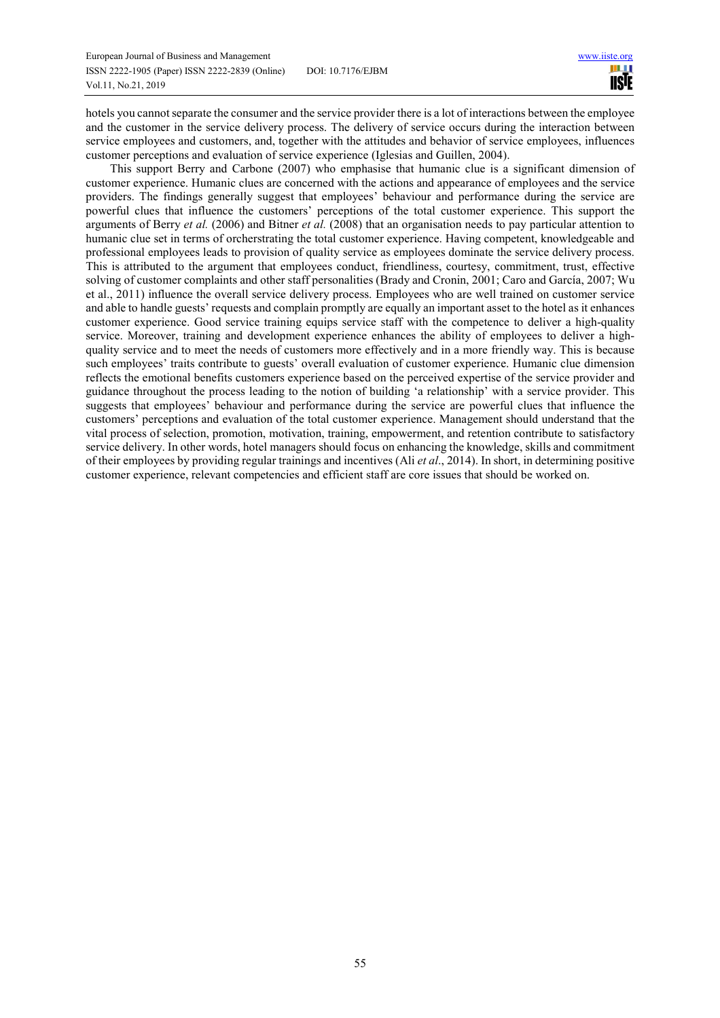hotels you cannot separate the consumer and the service provider there is a lot of interactions between the employee and the customer in the service delivery process. The delivery of service occurs during the interaction between service employees and customers, and, together with the attitudes and behavior of service employees, influences customer perceptions and evaluation of service experience (Iglesias and Guillen, 2004).

This support Berry and Carbone (2007) who emphasise that humanic clue is a significant dimension of customer experience. Humanic clues are concerned with the actions and appearance of employees and the service providers. The findings generally suggest that employees' behaviour and performance during the service are powerful clues that influence the customers' perceptions of the total customer experience. This support the arguments of Berry *et al.* (2006) and Bitner *et al.* (2008) that an organisation needs to pay particular attention to humanic clue set in terms of orcherstrating the total customer experience. Having competent, knowledgeable and professional employees leads to provision of quality service as employees dominate the service delivery process. This is attributed to the argument that employees conduct, friendliness, courtesy, commitment, trust, effective solving of customer complaints and other staff personalities (Brady and Cronin, 2001; Caro and García, 2007; Wu et al., 2011) influence the overall service delivery process. Employees who are well trained on customer service and able to handle guests' requests and complain promptly are equally an important asset to the hotel as it enhances customer experience. Good service training equips service staff with the competence to deliver a high-quality service. Moreover, training and development experience enhances the ability of employees to deliver a highquality service and to meet the needs of customers more effectively and in a more friendly way. This is because such employees' traits contribute to guests' overall evaluation of customer experience. Humanic clue dimension reflects the emotional benefits customers experience based on the perceived expertise of the service provider and guidance throughout the process leading to the notion of building 'a relationship' with a service provider. This suggests that employees' behaviour and performance during the service are powerful clues that influence the customers' perceptions and evaluation of the total customer experience. Management should understand that the vital process of selection, promotion, motivation, training, empowerment, and retention contribute to satisfactory service delivery. In other words, hotel managers should focus on enhancing the knowledge, skills and commitment of their employees by providing regular trainings and incentives (Ali *et al*., 2014). In short, in determining positive customer experience, relevant competencies and efficient staff are core issues that should be worked on.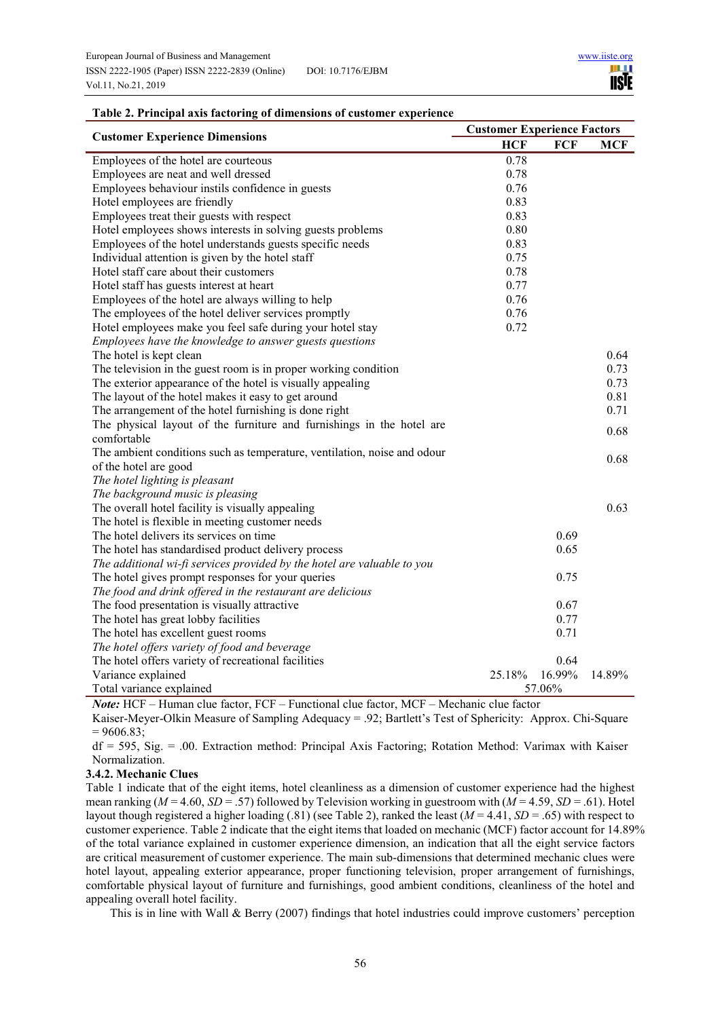|                                                                          |            | <b>Customer Experience Factors</b> |        |  |  |  |
|--------------------------------------------------------------------------|------------|------------------------------------|--------|--|--|--|
| <b>Customer Experience Dimensions</b>                                    | <b>HCF</b> | <b>FCF</b>                         | MCF    |  |  |  |
| Employees of the hotel are courteous                                     | 0.78       |                                    |        |  |  |  |
| Employees are neat and well dressed                                      | 0.78       |                                    |        |  |  |  |
| Employees behaviour instils confidence in guests                         | 0.76       |                                    |        |  |  |  |
| Hotel employees are friendly                                             | 0.83       |                                    |        |  |  |  |
| Employees treat their guests with respect                                | 0.83       |                                    |        |  |  |  |
| Hotel employees shows interests in solving guests problems               | 0.80       |                                    |        |  |  |  |
| Employees of the hotel understands guests specific needs                 | 0.83       |                                    |        |  |  |  |
| Individual attention is given by the hotel staff                         | 0.75       |                                    |        |  |  |  |
| Hotel staff care about their customers                                   | 0.78       |                                    |        |  |  |  |
| Hotel staff has guests interest at heart                                 | 0.77       |                                    |        |  |  |  |
| Employees of the hotel are always willing to help                        | 0.76       |                                    |        |  |  |  |
| The employees of the hotel deliver services promptly                     | 0.76       |                                    |        |  |  |  |
| Hotel employees make you feel safe during your hotel stay                | 0.72       |                                    |        |  |  |  |
| Employees have the knowledge to answer guests questions                  |            |                                    |        |  |  |  |
| The hotel is kept clean                                                  |            |                                    | 0.64   |  |  |  |
| The television in the guest room is in proper working condition          |            |                                    | 0.73   |  |  |  |
| The exterior appearance of the hotel is visually appealing               |            |                                    | 0.73   |  |  |  |
| The layout of the hotel makes it easy to get around                      |            |                                    | 0.81   |  |  |  |
| The arrangement of the hotel furnishing is done right                    |            |                                    | 0.71   |  |  |  |
| The physical layout of the furniture and furnishings in the hotel are    |            |                                    | 0.68   |  |  |  |
| comfortable                                                              |            |                                    |        |  |  |  |
| The ambient conditions such as temperature, ventilation, noise and odour |            |                                    | 0.68   |  |  |  |
| of the hotel are good                                                    |            |                                    |        |  |  |  |
| The hotel lighting is pleasant                                           |            |                                    |        |  |  |  |
| The background music is pleasing                                         |            |                                    |        |  |  |  |
| The overall hotel facility is visually appealing                         |            |                                    | 0.63   |  |  |  |
| The hotel is flexible in meeting customer needs                          |            |                                    |        |  |  |  |
| The hotel delivers its services on time                                  |            | 0.69                               |        |  |  |  |
| The hotel has standardised product delivery process                      |            | 0.65                               |        |  |  |  |
| The additional wi-fi services provided by the hotel are valuable to you  |            |                                    |        |  |  |  |
| The hotel gives prompt responses for your queries                        |            | 0.75                               |        |  |  |  |
| The food and drink offered in the restaurant are delicious               |            |                                    |        |  |  |  |
| The food presentation is visually attractive                             |            | 0.67                               |        |  |  |  |
| The hotel has great lobby facilities                                     |            | 0.77                               |        |  |  |  |
| The hotel has excellent guest rooms                                      |            | 0.71                               |        |  |  |  |
| The hotel offers variety of food and beverage                            |            |                                    |        |  |  |  |
| The hotel offers variety of recreational facilities                      |            | 0.64                               |        |  |  |  |
| Variance explained                                                       | 25.18%     | 16.99%                             | 14.89% |  |  |  |
| Total variance explained                                                 |            | 57.06%                             |        |  |  |  |

## **Table 2. Principal axis factoring of dimensions of customer experience**

*Note:* HCF – Human clue factor, FCF – Functional clue factor, MCF – Mechanic clue factor

Kaiser-Meyer-Olkin Measure of Sampling Adequacy = .92; Bartlett's Test of Sphericity: Approx. Chi-Square  $= 9606.83;$ 

df = 595, Sig. = .00. Extraction method: Principal Axis Factoring; Rotation Method: Varimax with Kaiser Normalization.

## **3.4.2. Mechanic Clues**

Table 1 indicate that of the eight items, hotel cleanliness as a dimension of customer experience had the highest mean ranking ( $M = 4.60$ ,  $SD = .57$ ) followed by Television working in guestroom with ( $M = 4.59$ ,  $SD = .61$ ). Hotel layout though registered a higher loading (.81) (see Table 2), ranked the least (*M* = 4.41, *SD* = .65) with respect to customer experience. Table 2 indicate that the eight items that loaded on mechanic (MCF) factor account for 14.89% of the total variance explained in customer experience dimension, an indication that all the eight service factors are critical measurement of customer experience. The main sub-dimensions that determined mechanic clues were hotel layout, appealing exterior appearance, proper functioning television, proper arrangement of furnishings, comfortable physical layout of furniture and furnishings, good ambient conditions, cleanliness of the hotel and appealing overall hotel facility.

This is in line with Wall & Berry (2007) findings that hotel industries could improve customers' perception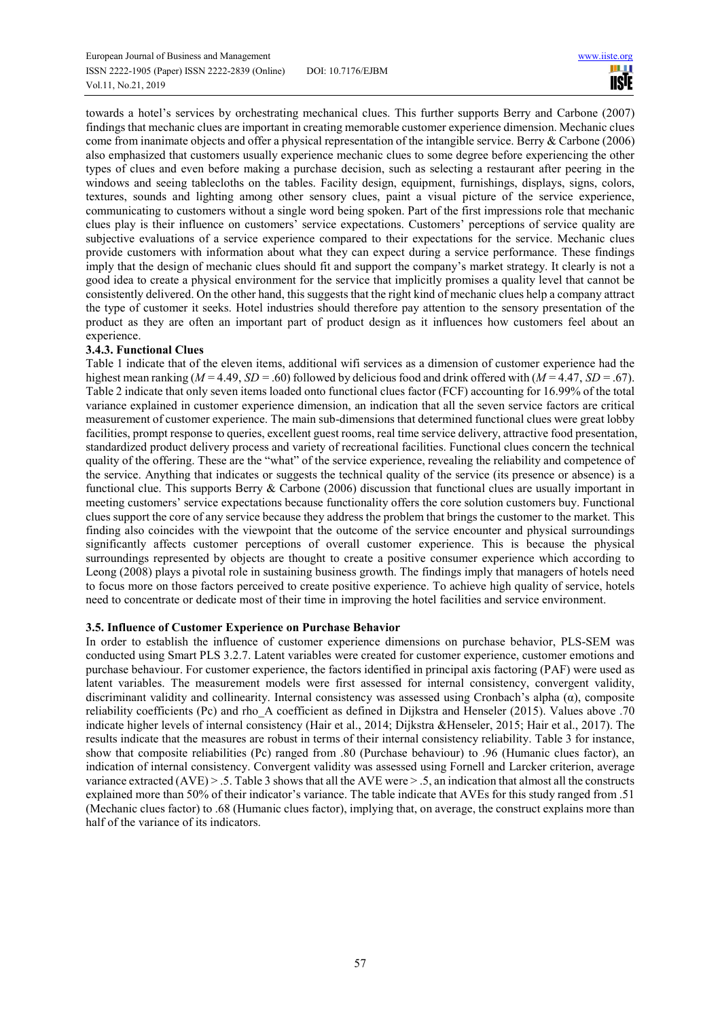towards a hotel's services by orchestrating mechanical clues. This further supports Berry and Carbone (2007) findings that mechanic clues are important in creating memorable customer experience dimension. Mechanic clues come from inanimate objects and offer a physical representation of the intangible service. Berry & Carbone (2006) also emphasized that customers usually experience mechanic clues to some degree before experiencing the other types of clues and even before making a purchase decision, such as selecting a restaurant after peering in the windows and seeing tablecloths on the tables. Facility design, equipment, furnishings, displays, signs, colors, textures, sounds and lighting among other sensory clues, paint a visual picture of the service experience, communicating to customers without a single word being spoken. Part of the first impressions role that mechanic clues play is their influence on customers' service expectations. Customers' perceptions of service quality are subjective evaluations of a service experience compared to their expectations for the service. Mechanic clues provide customers with information about what they can expect during a service performance. These findings imply that the design of mechanic clues should fit and support the company's market strategy. It clearly is not a good idea to create a physical environment for the service that implicitly promises a quality level that cannot be consistently delivered. On the other hand, this suggests that the right kind of mechanic clues help a company attract the type of customer it seeks. Hotel industries should therefore pay attention to the sensory presentation of the product as they are often an important part of product design as it influences how customers feel about an experience.

# **3.4.3. Functional Clues**

Table 1 indicate that of the eleven items, additional wifi services as a dimension of customer experience had the highest mean ranking  $(M = 4.49, SD = .60)$  followed by delicious food and drink offered with  $(M = 4.47, SD = .67)$ . Table 2 indicate that only seven items loaded onto functional clues factor (FCF) accounting for 16.99% of the total variance explained in customer experience dimension, an indication that all the seven service factors are critical measurement of customer experience. The main sub-dimensions that determined functional clues were great lobby facilities, prompt response to queries, excellent guest rooms, real time service delivery, attractive food presentation, standardized product delivery process and variety of recreational facilities. Functional clues concern the technical quality of the offering. These are the "what" of the service experience, revealing the reliability and competence of the service. Anything that indicates or suggests the technical quality of the service (its presence or absence) is a functional clue. This supports Berry & Carbone (2006) discussion that functional clues are usually important in meeting customers' service expectations because functionality offers the core solution customers buy. Functional clues support the core of any service because they address the problem that brings the customer to the market. This finding also coincides with the viewpoint that the outcome of the service encounter and physical surroundings significantly affects customer perceptions of overall customer experience. This is because the physical surroundings represented by objects are thought to create a positive consumer experience which according to Leong (2008) plays a pivotal role in sustaining business growth. The findings imply that managers of hotels need to focus more on those factors perceived to create positive experience. To achieve high quality of service, hotels need to concentrate or dedicate most of their time in improving the hotel facilities and service environment.

# **3.5. Influence of Customer Experience on Purchase Behavior**

In order to establish the influence of customer experience dimensions on purchase behavior, PLS-SEM was conducted using Smart PLS 3.2.7. Latent variables were created for customer experience, customer emotions and purchase behaviour. For customer experience, the factors identified in principal axis factoring (PAF) were used as latent variables. The measurement models were first assessed for internal consistency, convergent validity, discriminant validity and collinearity. Internal consistency was assessed using Cronbach's alpha (α), composite reliability coefficients (Pc) and rho\_A coefficient as defined in Dijkstra and Henseler (2015). Values above .70 indicate higher levels of internal consistency (Hair et al., 2014; Dijkstra &Henseler, 2015; Hair et al., 2017). The results indicate that the measures are robust in terms of their internal consistency reliability. Table 3 for instance, show that composite reliabilities (Pc) ranged from .80 (Purchase behaviour) to .96 (Humanic clues factor), an indication of internal consistency. Convergent validity was assessed using Fornell and Larcker criterion, average variance extracted  $(AVE) > 0.5$ . Table 3 shows that all the AVE were  $> 0.5$ , an indication that almost all the constructs explained more than 50% of their indicator's variance. The table indicate that AVEs for this study ranged from .51 (Mechanic clues factor) to .68 (Humanic clues factor), implying that, on average, the construct explains more than half of the variance of its indicators.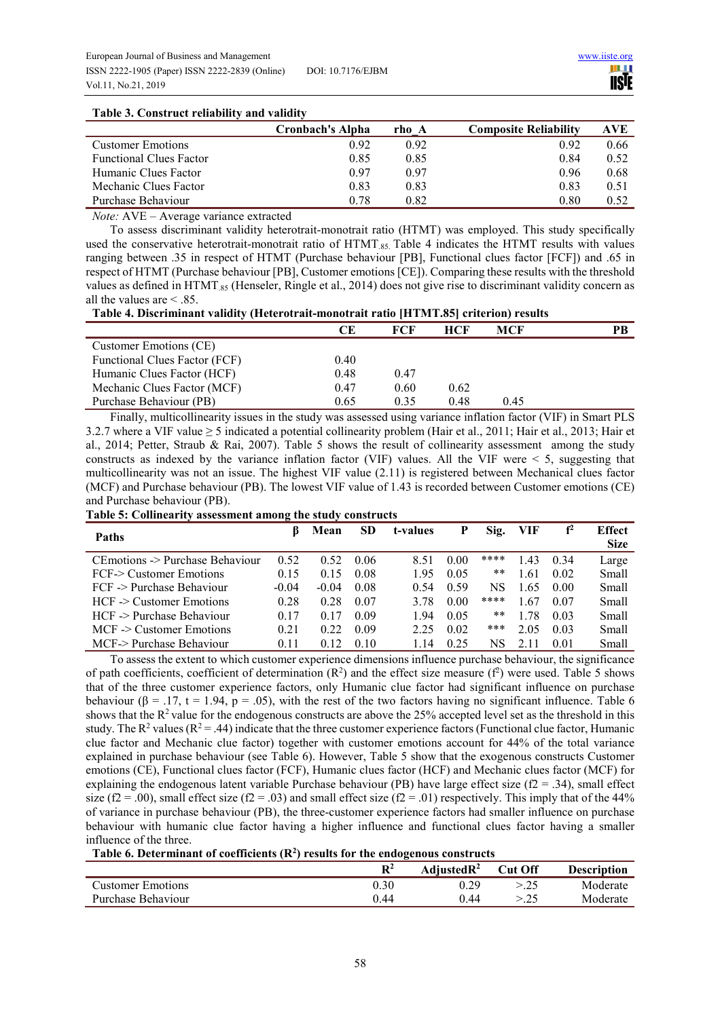ШI **IISTE** 

## **Table 3. Construct reliability and validity**

|                                | <b>Cronbach's Alpha</b> | rho A | <b>Composite Reliability</b> | AVE  |
|--------------------------------|-------------------------|-------|------------------------------|------|
| <b>Customer Emotions</b>       | 0.92                    | 0.92  | 0.92                         | 0.66 |
| <b>Functional Clues Factor</b> | 0.85                    | 0.85  | 0.84                         | 0.52 |
| Humanic Clues Factor           | 0.97                    | 0.97  | 0.96                         | 0.68 |
| Mechanic Clues Factor          | 0.83                    | 0.83  | 0.83                         | 0.51 |
| Purchase Behaviour             | 0.78                    | 0.82  | 0.80                         | 0.52 |

*Note:* AVE – Average variance extracted

To assess discriminant validity heterotrait-monotrait ratio (HTMT) was employed. This study specifically used the conservative heterotrait-monotrait ratio of  $HTMT_{85}$ . Table 4 indicates the HTMT results with values ranging between .35 in respect of HTMT (Purchase behaviour [PB], Functional clues factor [FCF]) and .65 in respect of HTMT (Purchase behaviour [PB], Customer emotions [CE]). Comparing these results with the threshold values as defined in HTMT  $_{85}$  (Henseler, Ringle et al., 2014) does not give rise to discriminant validity concern as all the values are < .85.

**Table 4. Discriminant validity (Heterotrait-monotrait ratio [HTMT.85] criterion) results**

|                               | CЕ   | FCF  | <b>HCF</b> | MCF  | PB |
|-------------------------------|------|------|------------|------|----|
| Customer Emotions (CE)        |      |      |            |      |    |
| Functional Clues Factor (FCF) | 0.40 |      |            |      |    |
| Humanic Clues Factor (HCF)    | 0.48 | 0.47 |            |      |    |
| Mechanic Clues Factor (MCF)   | 0.47 | 0.60 | 0.62       |      |    |
| Purchase Behaviour (PB)       | 0.65 | 0.35 | 0.48       | 0.45 |    |

Finally, multicollinearity issues in the study was assessed using variance inflation factor (VIF) in Smart PLS 3.2.7 where a VIF value ≥ 5 indicated a potential collinearity problem (Hair et al., 2011; Hair et al., 2013; Hair et al., 2014; Petter, Straub & Rai, 2007). Table 5 shows the result of collinearity assessment among the study constructs as indexed by the variance inflation factor (VIF) values. All the VIF were  $\leq 5$ , suggesting that multicollinearity was not an issue. The highest VIF value (2.11) is registered between Mechanical clues factor (MCF) and Purchase behaviour (PB). The lowest VIF value of 1.43 is recorded between Customer emotions (CE) and Purchase behaviour (PB).

**Table 5: Collinearity assessment among the study constructs** 

| <b>Paths</b>                     | ĸ       | Mean    | <b>SD</b> | t-values | Р    | Sig. | VIF  | f <sup>2</sup> | <b>Effect</b><br><b>Size</b> |
|----------------------------------|---------|---------|-----------|----------|------|------|------|----------------|------------------------------|
| CE motions -> Purchase Behaviour | 0.52    | 0.52    | 0.06      | 8.51     | 0.00 | **** | .43  | 0.34           | Large                        |
| FCF-> Customer Emotions          | 0.15    | 0.15    | 0.08      | 1.95     | 0.05 | **   | .61  | 0.02           | Small                        |
| $FCF$ $>$ Purchase Behaviour     | $-0.04$ | $-0.04$ | 0.08      | 0.54     | 0.59 | NS   | 1.65 | 0.00           | Small                        |
| $HCF \geq$ Customer Emotions     | 0.28    | 0.28    | 0.07      | 3.78     | 0.00 | **** | .67  | 0.07           | Small                        |
| HCF -> Purchase Behaviour        | 0.17    | 0.17    | 0.09      | 1.94     | 0.05 | **   | 1.78 | 0.03           | Small                        |
| $MCF$ $\geq$ Customer Emotions   | 0.21    | 0.22    | 0.09      | 2.25     | 0.02 | ***  | 2.05 | 0.03           | Small                        |
| MCF-> Purchase Behaviour         | 0.11    | 0.12    | 0.10      | 114      | 0.25 | NS   |      | 0.01           | Small                        |

To assess the extent to which customer experience dimensions influence purchase behaviour, the significance of path coefficients, coefficient of determination  $(R^2)$  and the effect size measure  $(f^2)$  were used. Table 5 shows that of the three customer experience factors, only Humanic clue factor had significant influence on purchase behaviour ( $\beta = .17$ , t = 1.94, p = .05), with the rest of the two factors having no significant influence. Table 6 shows that the  $R^2$  value for the endogenous constructs are above the 25% accepted level set as the threshold in this study. The  $R^2$  values ( $R^2 = .44$ ) indicate that the three customer experience factors (Functional clue factor, Humanic clue factor and Mechanic clue factor) together with customer emotions account for 44% of the total variance explained in purchase behaviour (see Table 6). However, Table 5 show that the exogenous constructs Customer emotions (CE), Functional clues factor (FCF), Humanic clues factor (HCF) and Mechanic clues factor (MCF) for explaining the endogenous latent variable Purchase behaviour (PB) have large effect size ( $f2 = .34$ ), small effect size ( $f2 = .00$ ), small effect size ( $f2 = .03$ ) and small effect size ( $f2 = .01$ ) respectively. This imply that of the 44% of variance in purchase behaviour (PB), the three-customer experience factors had smaller influence on purchase behaviour with humanic clue factor having a higher influence and functional clues factor having a smaller influence of the three.

|                     | D2   | Adjusted $\mathbb{R}^2$ | <b>Cut Off</b> | <b>Description</b> |
|---------------------|------|-------------------------|----------------|--------------------|
| Customer Emotions . | 0.30 | 0.29                    |                | Moderate           |
| Purchase Behaviour  | 0.44 | ገ 44                    |                | Moderate           |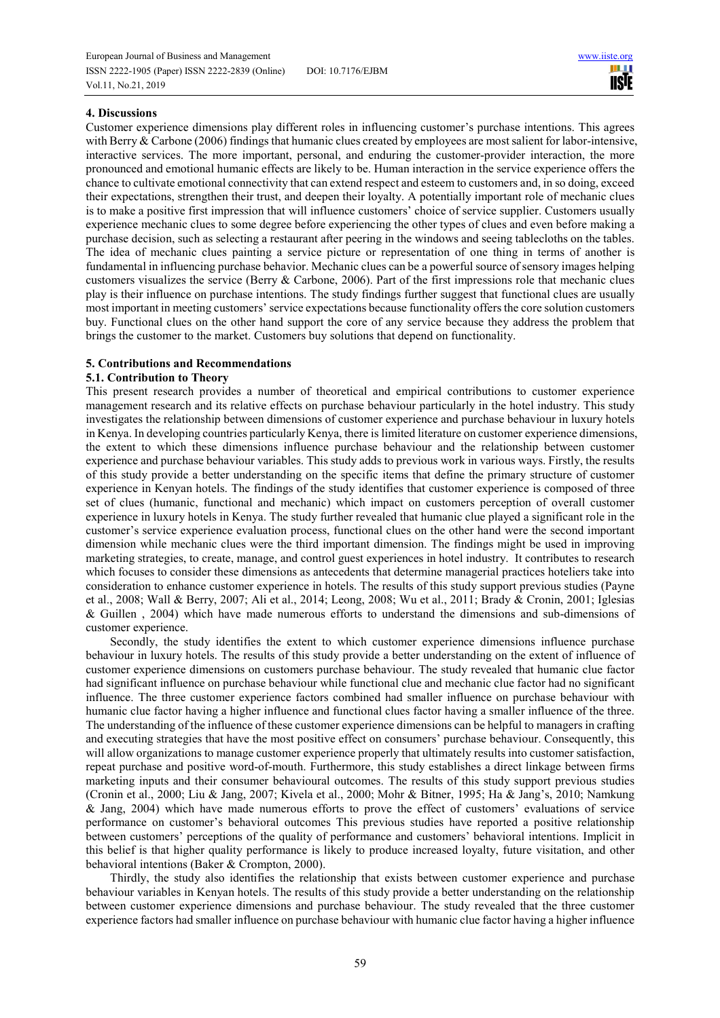## **4. Discussions**

Customer experience dimensions play different roles in influencing customer's purchase intentions. This agrees with Berry & Carbone (2006) findings that humanic clues created by employees are most salient for labor-intensive, interactive services. The more important, personal, and enduring the customer-provider interaction, the more pronounced and emotional humanic effects are likely to be. Human interaction in the service experience offers the chance to cultivate emotional connectivity that can extend respect and esteem to customers and, in so doing, exceed their expectations, strengthen their trust, and deepen their loyalty. A potentially important role of mechanic clues is to make a positive first impression that will influence customers' choice of service supplier. Customers usually experience mechanic clues to some degree before experiencing the other types of clues and even before making a purchase decision, such as selecting a restaurant after peering in the windows and seeing tablecloths on the tables. The idea of mechanic clues painting a service picture or representation of one thing in terms of another is fundamental in influencing purchase behavior. Mechanic clues can be a powerful source of sensory images helping customers visualizes the service (Berry & Carbone, 2006). Part of the first impressions role that mechanic clues play is their influence on purchase intentions. The study findings further suggest that functional clues are usually most important in meeting customers' service expectations because functionality offers the core solution customers buy. Functional clues on the other hand support the core of any service because they address the problem that brings the customer to the market. Customers buy solutions that depend on functionality.

## **5. Contributions and Recommendations**

## **5.1. Contribution to Theory**

This present research provides a number of theoretical and empirical contributions to customer experience management research and its relative effects on purchase behaviour particularly in the hotel industry. This study investigates the relationship between dimensions of customer experience and purchase behaviour in luxury hotels in Kenya. In developing countries particularly Kenya, there is limited literature on customer experience dimensions, the extent to which these dimensions influence purchase behaviour and the relationship between customer experience and purchase behaviour variables. This study adds to previous work in various ways. Firstly, the results of this study provide a better understanding on the specific items that define the primary structure of customer experience in Kenyan hotels. The findings of the study identifies that customer experience is composed of three set of clues (humanic, functional and mechanic) which impact on customers perception of overall customer experience in luxury hotels in Kenya. The study further revealed that humanic clue played a significant role in the customer's service experience evaluation process, functional clues on the other hand were the second important dimension while mechanic clues were the third important dimension. The findings might be used in improving marketing strategies, to create, manage, and control guest experiences in hotel industry. It contributes to research which focuses to consider these dimensions as antecedents that determine managerial practices hoteliers take into consideration to enhance customer experience in hotels. The results of this study support previous studies (Payne et al., 2008; Wall & Berry, 2007; Ali et al., 2014; Leong, 2008; Wu et al., 2011; Brady & Cronin, 2001; Iglesias & Guillen , 2004) which have made numerous efforts to understand the dimensions and sub-dimensions of customer experience.

Secondly, the study identifies the extent to which customer experience dimensions influence purchase behaviour in luxury hotels. The results of this study provide a better understanding on the extent of influence of customer experience dimensions on customers purchase behaviour. The study revealed that humanic clue factor had significant influence on purchase behaviour while functional clue and mechanic clue factor had no significant influence. The three customer experience factors combined had smaller influence on purchase behaviour with humanic clue factor having a higher influence and functional clues factor having a smaller influence of the three. The understanding of the influence of these customer experience dimensions can be helpful to managers in crafting and executing strategies that have the most positive effect on consumers' purchase behaviour. Consequently, this will allow organizations to manage customer experience properly that ultimately results into customer satisfaction, repeat purchase and positive word-of-mouth. Furthermore, this study establishes a direct linkage between firms marketing inputs and their consumer behavioural outcomes. The results of this study support previous studies (Cronin et al., 2000; Liu & Jang, 2007; Kivela et al., 2000; Mohr & Bitner, 1995; Ha & Jang's, 2010; Namkung & Jang, 2004) which have made numerous efforts to prove the effect of customers' evaluations of service performance on customer's behavioral outcomes This previous studies have reported a positive relationship between customers' perceptions of the quality of performance and customers' behavioral intentions. Implicit in this belief is that higher quality performance is likely to produce increased loyalty, future visitation, and other behavioral intentions (Baker & Crompton, 2000).

Thirdly, the study also identifies the relationship that exists between customer experience and purchase behaviour variables in Kenyan hotels. The results of this study provide a better understanding on the relationship between customer experience dimensions and purchase behaviour. The study revealed that the three customer experience factors had smaller influence on purchase behaviour with humanic clue factor having a higher influence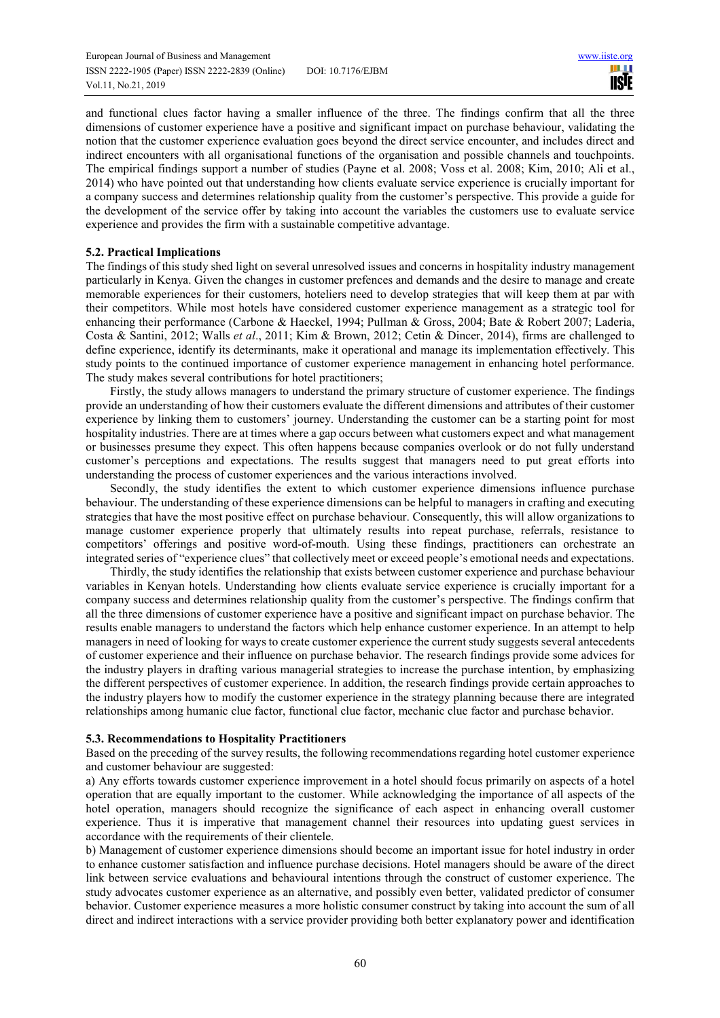and functional clues factor having a smaller influence of the three. The findings confirm that all the three dimensions of customer experience have a positive and significant impact on purchase behaviour, validating the notion that the customer experience evaluation goes beyond the direct service encounter, and includes direct and indirect encounters with all organisational functions of the organisation and possible channels and touchpoints. The empirical findings support a number of studies (Payne et al. 2008; Voss et al. 2008; Kim, 2010; Ali et al., 2014) who have pointed out that understanding how clients evaluate service experience is crucially important for a company success and determines relationship quality from the customer's perspective. This provide a guide for the development of the service offer by taking into account the variables the customers use to evaluate service experience and provides the firm with a sustainable competitive advantage.

## **5.2. Practical Implications**

The findings of this study shed light on several unresolved issues and concerns in hospitality industry management particularly in Kenya. Given the changes in customer prefences and demands and the desire to manage and create memorable experiences for their customers, hoteliers need to develop strategies that will keep them at par with their competitors. While most hotels have considered customer experience management as a strategic tool for enhancing their performance (Carbone & Haeckel, 1994; Pullman & Gross, 2004; Bate & Robert 2007; Laderia, Costa & Santini, 2012; Walls *et al*., 2011; Kim & Brown, 2012; Cetin & Dincer, 2014), firms are challenged to define experience, identify its determinants, make it operational and manage its implementation effectively. This study points to the continued importance of customer experience management in enhancing hotel performance. The study makes several contributions for hotel practitioners;

Firstly, the study allows managers to understand the primary structure of customer experience. The findings provide an understanding of how their customers evaluate the different dimensions and attributes of their customer experience by linking them to customers' journey. Understanding the customer can be a starting point for most hospitality industries. There are at times where a gap occurs between what customers expect and what management or businesses presume they expect. This often happens because companies overlook or do not fully understand customer's perceptions and expectations. The results suggest that managers need to put great efforts into understanding the process of customer experiences and the various interactions involved.

Secondly, the study identifies the extent to which customer experience dimensions influence purchase behaviour. The understanding of these experience dimensions can be helpful to managers in crafting and executing strategies that have the most positive effect on purchase behaviour. Consequently, this will allow organizations to manage customer experience properly that ultimately results into repeat purchase, referrals, resistance to competitors' offerings and positive word-of-mouth. Using these findings, practitioners can orchestrate an integrated series of "experience clues" that collectively meet or exceed people's emotional needs and expectations.

Thirdly, the study identifies the relationship that exists between customer experience and purchase behaviour variables in Kenyan hotels. Understanding how clients evaluate service experience is crucially important for a company success and determines relationship quality from the customer's perspective. The findings confirm that all the three dimensions of customer experience have a positive and significant impact on purchase behavior. The results enable managers to understand the factors which help enhance customer experience. In an attempt to help managers in need of looking for ways to create customer experience the current study suggests several antecedents of customer experience and their influence on purchase behavior. The research findings provide some advices for the industry players in drafting various managerial strategies to increase the purchase intention, by emphasizing the different perspectives of customer experience. In addition, the research findings provide certain approaches to the industry players how to modify the customer experience in the strategy planning because there are integrated relationships among humanic clue factor, functional clue factor, mechanic clue factor and purchase behavior.

## **5.3. Recommendations to Hospitality Practitioners**

Based on the preceding of the survey results, the following recommendations regarding hotel customer experience and customer behaviour are suggested:

a) Any efforts towards customer experience improvement in a hotel should focus primarily on aspects of a hotel operation that are equally important to the customer. While acknowledging the importance of all aspects of the hotel operation, managers should recognize the significance of each aspect in enhancing overall customer experience. Thus it is imperative that management channel their resources into updating guest services in accordance with the requirements of their clientele.

b) Management of customer experience dimensions should become an important issue for hotel industry in order to enhance customer satisfaction and influence purchase decisions. Hotel managers should be aware of the direct link between service evaluations and behavioural intentions through the construct of customer experience. The study advocates customer experience as an alternative, and possibly even better, validated predictor of consumer behavior. Customer experience measures a more holistic consumer construct by taking into account the sum of all direct and indirect interactions with a service provider providing both better explanatory power and identification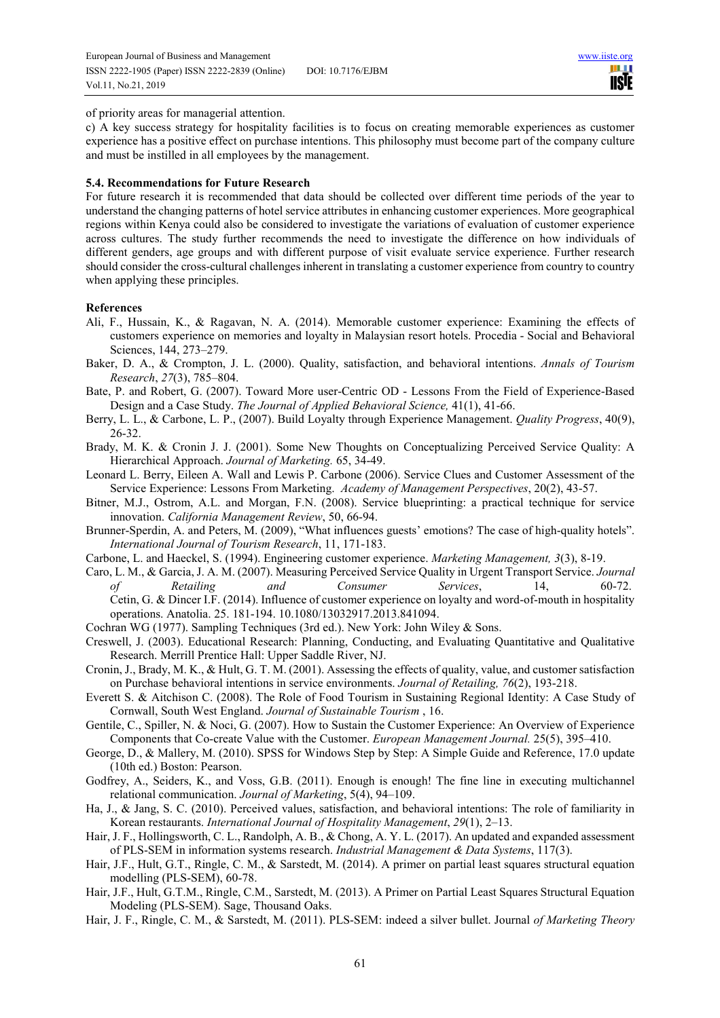of priority areas for managerial attention.

c) A key success strategy for hospitality facilities is to focus on creating memorable experiences as customer experience has a positive effect on purchase intentions. This philosophy must become part of the company culture and must be instilled in all employees by the management.

#### **5.4. Recommendations for Future Research**

For future research it is recommended that data should be collected over different time periods of the year to understand the changing patterns of hotel service attributes in enhancing customer experiences. More geographical regions within Kenya could also be considered to investigate the variations of evaluation of customer experience across cultures. The study further recommends the need to investigate the difference on how individuals of different genders, age groups and with different purpose of visit evaluate service experience. Further research should consider the cross-cultural challenges inherent in translating a customer experience from country to country when applying these principles.

#### **References**

- Ali, F., Hussain, K., & Ragavan, N. A. (2014). Memorable customer experience: Examining the effects of customers experience on memories and loyalty in Malaysian resort hotels. Procedia - Social and Behavioral Sciences, 144, 273–279.
- Baker, D. A., & Crompton, J. L. (2000). Quality, satisfaction, and behavioral intentions. *Annals of Tourism Research*, *27*(3), 785–804.
- Bate, P. and Robert, G. (2007). Toward More user-Centric OD Lessons From the Field of Experience-Based Design and a Case Study. *The Journal of Applied Behavioral Science,* 41(1), 41-66.
- Berry, L. L., & Carbone, L. P., (2007). Build Loyalty through Experience Management. *Quality Progress*, 40(9), 26-32.
- Brady, M. K. & Cronin J. J. (2001). Some New Thoughts on Conceptualizing Perceived Service Quality: A Hierarchical Approach. *Journal of Marketing.* 65, 34-49.
- Leonard L. Berry, Eileen A. Wall and Lewis P. Carbone (2006). Service Clues and Customer Assessment of the Service Experience: Lessons From Marketing. *Academy of Management Perspectives*, 20(2), 43-57.
- Bitner, M.J., Ostrom, A.L. and Morgan, F.N. (2008). Service blueprinting: a practical technique for service innovation. *California Management Review*, 50, 66-94.
- Brunner-Sperdin, A. and Peters, M. (2009), "What influences guests' emotions? The case of high-quality hotels". *International Journal of Tourism Research*, 11, 171-183.
- Carbone, L. and Haeckel, S. (1994). Engineering customer experience. *Marketing Management, 3*(3), 8-19.
- Caro, L. M., & Garcia, J. A. M. (2007). Measuring Perceived Service Quality in Urgent Transport Service. *Journal of Retailing and Consumer Services*, 14, 60-72. Cetin, G. & Dincer I.F. (2014). Influence of customer experience on loyalty and word-of-mouth in hospitality operations. Anatolia. 25. 181-194. 10.1080/13032917.2013.841094.
- Cochran WG (1977). Sampling Techniques (3rd ed.). New York: John Wiley & Sons.
- Creswell, J. (2003). Educational Research: Planning, Conducting, and Evaluating Quantitative and Qualitative Research. Merrill Prentice Hall: Upper Saddle River, NJ.
- Cronin, J., Brady, M. K., & Hult, G. T. M. (2001). Assessing the effects of quality, value, and customer satisfaction on Purchase behavioral intentions in service environments. *Journal of Retailing, 76*(2), 193-218.
- Everett S. & Aitchison C. (2008). The Role of Food Tourism in Sustaining Regional Identity: A Case Study of Cornwall, South West England. *Journal of Sustainable Tourism* , 16.
- Gentile, C., Spiller, N. & Noci, G. (2007). How to Sustain the Customer Experience: An Overview of Experience Components that Co-create Value with the Customer. *European Management Journal.* 25(5), 395–410.
- George, D., & Mallery, M. (2010). SPSS for Windows Step by Step: A Simple Guide and Reference, 17.0 update (10th ed.) Boston: Pearson.
- Godfrey, A., Seiders, K., and Voss, G.B. (2011). Enough is enough! The fine line in executing multichannel relational communication. *Journal of Marketing*, 5(4), 94–109.
- Ha, J., & Jang, S. C. (2010). Perceived values, satisfaction, and behavioral intentions: The role of familiarity in Korean restaurants. *International Journal of Hospitality Management*, *29*(1), 2–13.
- Hair, J. F., Hollingsworth, C. L., Randolph, A. B., & Chong, A. Y. L. (2017). An updated and expanded assessment of PLS-SEM in information systems research. *Industrial Management & Data Systems*, 117(3).
- Hair, J.F., Hult, G.T., Ringle, C. M., & Sarstedt, M. (2014). A primer on partial least squares structural equation modelling (PLS-SEM), 60-78.
- Hair, J.F., Hult, G.T.M., Ringle, C.M., Sarstedt, M. (2013). A Primer on Partial Least Squares Structural Equation Modeling (PLS-SEM). Sage, Thousand Oaks.
- Hair, J. F., Ringle, C. M., & Sarstedt, M. (2011). PLS-SEM: indeed a silver bullet. Journal *of Marketing Theory*